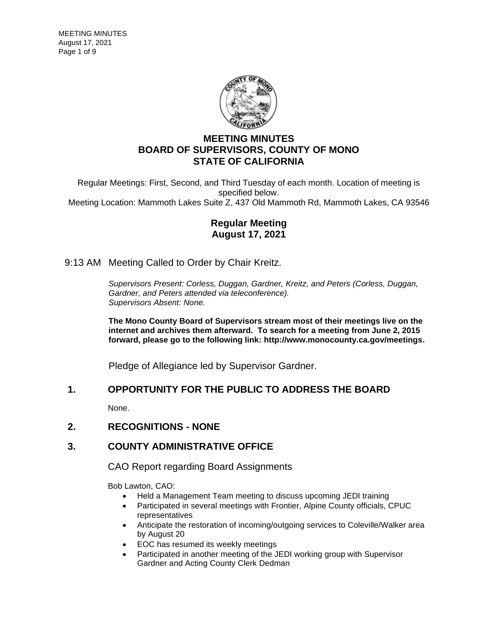

# **MEETING MINUTES BOARD OF SUPERVISORS, COUNTY OF MONO STATE OF CALIFORNIA**

Regular Meetings: First, Second, and Third Tuesday of each month. Location of meeting is specified below. Meeting Location: Mammoth Lakes Suite Z, 437 Old Mammoth Rd, Mammoth Lakes, CA 93546

## **Regular Meeting August 17, 2021**

## 9:13 AM Meeting Called to Order by Chair Kreitz.

*Supervisors Present: Corless, Duggan, Gardner, Kreitz, and Peters (Corless, Duggan, Gardner, and Peters attended via teleconference). Supervisors Absent: None.*

**The Mono County Board of Supervisors stream most of their meetings live on the internet and archives them afterward. To search for a meeting from June 2, 2015 forward, please go to the following link: [http://www.monocounty.ca.gov/meetings.](http://www.monocounty.ca.gov/meetings)**

Pledge of Allegiance led by Supervisor Gardner.

## **1. OPPORTUNITY FOR THE PUBLIC TO ADDRESS THE BOARD**

None.

## **2. RECOGNITIONS - NONE**

## **3. COUNTY ADMINISTRATIVE OFFICE**

CAO Report regarding Board Assignments

Bob Lawton, CAO:

- Held a Management Team meeting to discuss upcoming JEDI training
- Participated in several meetings with Frontier, Alpine County officials, CPUC representatives
- Anticipate the restoration of incoming/outgoing services to Coleville/Walker area by August 20
- EOC has resumed its weekly meetings
- Participated in another meeting of the JEDI working group with Supervisor Gardner and Acting County Clerk Dedman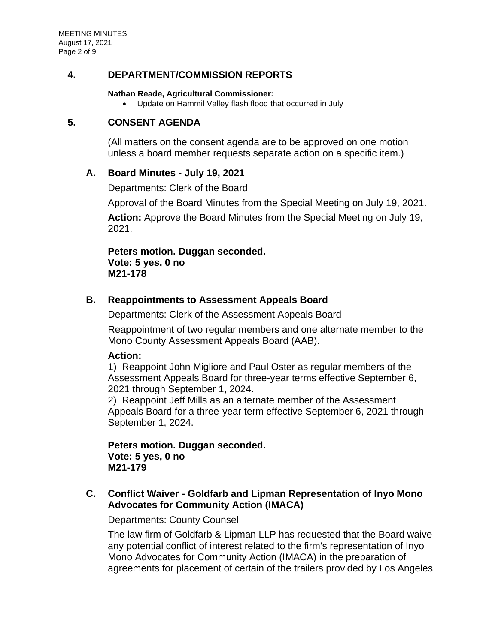MEETING MINUTES August 17, 2021 Page 2 of 9

## **4. DEPARTMENT/COMMISSION REPORTS**

#### **Nathan Reade, Agricultural Commissioner:**

• Update on Hammil Valley flash flood that occurred in July

# **5. CONSENT AGENDA**

(All matters on the consent agenda are to be approved on one motion unless a board member requests separate action on a specific item.)

# **A. [Board Minutes -](https://agenda.mono.ca.gov/AgendaWeb/CoverSheet.aspx?ItemID=13520&MeetingID=795) July 19, 2021**

Departments: Clerk of the Board

Approval of the Board Minutes from the Special Meeting on July 19, 2021.

**Action:** Approve the Board Minutes from the Special Meeting on July 19, 2021.

**Peters motion. Duggan seconded. Vote: 5 yes, 0 no M21-178**

# **B. [Reappointments to Assessment Appeals Board](https://agenda.mono.ca.gov/AgendaWeb/CoverSheet.aspx?ItemID=13524&MeetingID=795)**

Departments: Clerk of the Assessment Appeals Board

Reappointment of two regular members and one alternate member to the Mono County Assessment Appeals Board (AAB).

## **Action:**

1) Reappoint John Migliore and Paul Oster as regular members of the Assessment Appeals Board for three-year terms effective September 6, 2021 through September 1, 2024.

2) Reappoint Jeff Mills as an alternate member of the Assessment Appeals Board for a three-year term effective September 6, 2021 through September 1, 2024.

**Peters motion. Duggan seconded. Vote: 5 yes, 0 no M21-179**

# **C. Conflict Waiver - [Goldfarb and Lipman Representation of Inyo Mono](https://agenda.mono.ca.gov/AgendaWeb/CoverSheet.aspx?ItemID=13565&MeetingID=795)  [Advocates for Community Action \(IMACA\)](https://agenda.mono.ca.gov/AgendaWeb/CoverSheet.aspx?ItemID=13565&MeetingID=795)**

Departments: County Counsel

The law firm of Goldfarb & Lipman LLP has requested that the Board waive any potential conflict of interest related to the firm's representation of Inyo Mono Advocates for Community Action (IMACA) in the preparation of agreements for placement of certain of the trailers provided by Los Angeles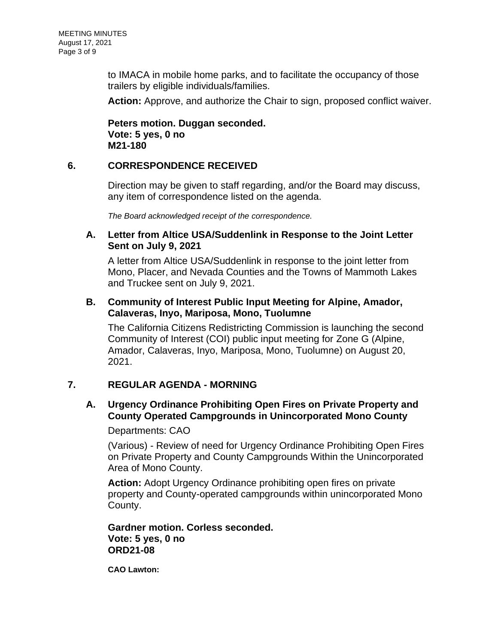to IMACA in mobile home parks, and to facilitate the occupancy of those trailers by eligible individuals/families.

**Action:** Approve, and authorize the Chair to sign, proposed conflict waiver.

**Peters motion. Duggan seconded. Vote: 5 yes, 0 no M21-180**

# **6. CORRESPONDENCE RECEIVED**

Direction may be given to staff regarding, and/or the Board may discuss, any item of correspondence listed on the agenda.

*The Board acknowledged receipt of the correspondence.*

## **A. [Letter from Altice USA/Suddenlink in Response to the Joint Letter](https://agenda.mono.ca.gov/AgendaWeb/CoverSheet.aspx?ItemID=13551&MeetingID=795)  [Sent on July 9, 2021](https://agenda.mono.ca.gov/AgendaWeb/CoverSheet.aspx?ItemID=13551&MeetingID=795)**

A letter from Altice USA/Suddenlink in response to the joint letter from Mono, Placer, and Nevada Counties and the Towns of Mammoth Lakes and Truckee sent on July 9, 2021.

# **B. [Community of Interest Public Input Meeting for Alpine, Amador,](https://agenda.mono.ca.gov/AgendaWeb/CoverSheet.aspx?ItemID=13552&MeetingID=795)  [Calaveras, Inyo, Mariposa, Mono, Tuolumne](https://agenda.mono.ca.gov/AgendaWeb/CoverSheet.aspx?ItemID=13552&MeetingID=795)**

The California Citizens Redistricting Commission is launching the second Community of Interest (COI) public input meeting for Zone G (Alpine, Amador, Calaveras, Inyo, Mariposa, Mono, Tuolumne) on August 20, 2021.

# **7. REGULAR AGENDA - MORNING**

# **A. [Urgency Ordinance Prohibiting Open Fires on Private Property and](https://agenda.mono.ca.gov/AgendaWeb/CoverSheet.aspx?ItemID=13567&MeetingID=795)  [County Operated Campgrounds in Unincorporated Mono County](https://agenda.mono.ca.gov/AgendaWeb/CoverSheet.aspx?ItemID=13567&MeetingID=795)**

Departments: CAO

(Various) - Review of need for Urgency Ordinance Prohibiting Open Fires on Private Property and County Campgrounds Within the Unincorporated Area of Mono County.

**Action:** Adopt Urgency Ordinance prohibiting open fires on private property and County-operated campgrounds within unincorporated Mono County.

**Gardner motion. Corless seconded. Vote: 5 yes, 0 no ORD21-08**

**CAO Lawton:**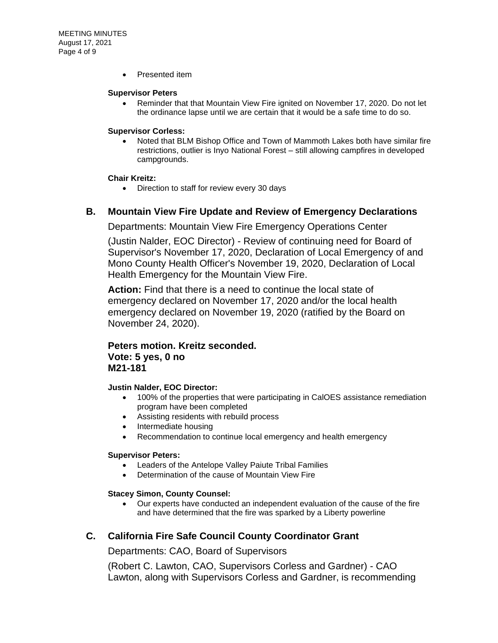• Presented item

#### **Supervisor Peters**

• Reminder that that Mountain View Fire ignited on November 17, 2020. Do not let the ordinance lapse until we are certain that it would be a safe time to do so.

#### **Supervisor Corless:**

• Noted that BLM Bishop Office and Town of Mammoth Lakes both have similar fire restrictions, outlier is Inyo National Forest – still allowing campfires in developed campgrounds.

#### **Chair Kreitz:**

• Direction to staff for review every 30 days

### **B. [Mountain View Fire Update and Review of Emergency Declarations](https://agenda.mono.ca.gov/AgendaWeb/CoverSheet.aspx?ItemID=13362&MeetingID=795)**

Departments: Mountain View Fire Emergency Operations Center

(Justin Nalder, EOC Director) - Review of continuing need for Board of Supervisor's November 17, 2020, Declaration of Local Emergency of and Mono County Health Officer's November 19, 2020, Declaration of Local Health Emergency for the Mountain View Fire.

**Action:** Find that there is a need to continue the local state of emergency declared on November 17, 2020 and/or the local health emergency declared on November 19, 2020 (ratified by the Board on November 24, 2020).

# **Peters motion. Kreitz seconded. Vote: 5 yes, 0 no M21-181**

#### **Justin Nalder, EOC Director:**

- 100% of the properties that were participating in CalOES assistance remediation program have been completed
- Assisting residents with rebuild process
- Intermediate housing
- Recommendation to continue local emergency and health emergency

#### **Supervisor Peters:**

- Leaders of the Antelope Valley Paiute Tribal Families
- Determination of the cause of Mountain View Fire

#### **Stacey Simon, County Counsel:**

• Our experts have conducted an independent evaluation of the cause of the fire and have determined that the fire was sparked by a Liberty powerline

### **C. [California Fire Safe Council County Coordinator Grant](https://agenda.mono.ca.gov/AgendaWeb/CoverSheet.aspx?ItemID=13548&MeetingID=795)**

Departments: CAO, Board of Supervisors

(Robert C. Lawton, CAO, Supervisors Corless and Gardner) - CAO Lawton, along with Supervisors Corless and Gardner, is recommending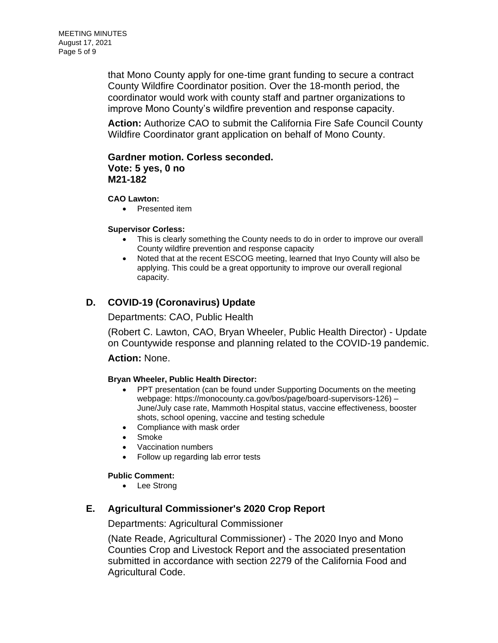that Mono County apply for one-time grant funding to secure a contract County Wildfire Coordinator position. Over the 18-month period, the coordinator would work with county staff and partner organizations to improve Mono County's wildfire prevention and response capacity.

**Action:** Authorize CAO to submit the California Fire Safe Council County Wildfire Coordinator grant application on behalf of Mono County.

## **Gardner motion. Corless seconded. Vote: 5 yes, 0 no M21-182**

#### **CAO Lawton:**

• Presented item

#### **Supervisor Corless:**

- This is clearly something the County needs to do in order to improve our overall County wildfire prevention and response capacity
- Noted that at the recent ESCOG meeting, learned that Inyo County will also be applying. This could be a great opportunity to improve our overall regional capacity.

# **D. [COVID-19 \(Coronavirus\) Update](https://agenda.mono.ca.gov/AgendaWeb/CoverSheet.aspx?ItemID=13391&MeetingID=795)**

### Departments: CAO, Public Health

(Robert C. Lawton, CAO, Bryan Wheeler, Public Health Director) - Update on Countywide response and planning related to the COVID-19 pandemic.

### **Action:** None.

#### **Bryan Wheeler, Public Health Director:**

- PPT presentation (can be found under Supporting Documents on the meeting webpage: https://monocounty.ca.gov/bos/page/board-supervisors-126) – June/July case rate, Mammoth Hospital status, vaccine effectiveness, booster shots, school opening, vaccine and testing schedule
- Compliance with mask order
- **Smoke**
- Vaccination numbers
- Follow up regarding lab error tests

### **Public Comment:**

• Lee Strong

## **E. [Agricultural Commissioner's 2020 Crop Report](https://agenda.mono.ca.gov/AgendaWeb/CoverSheet.aspx?ItemID=13527&MeetingID=795)**

Departments: Agricultural Commissioner

(Nate Reade, Agricultural Commissioner) - The 2020 Inyo and Mono Counties Crop and Livestock Report and the associated presentation submitted in accordance with section 2279 of the California Food and Agricultural Code.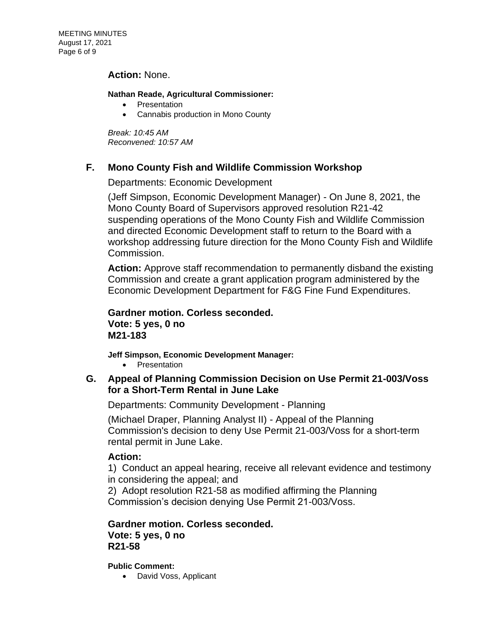### **Action:** None.

#### **Nathan Reade, Agricultural Commissioner:**

- Presentation
- Cannabis production in Mono County

*Break: 10:45 AM Reconvened: 10:57 AM*

## **F. [Mono County Fish and Wildlife Commission Workshop](https://agenda.mono.ca.gov/AgendaWeb/CoverSheet.aspx?ItemID=13539&MeetingID=795)**

Departments: Economic Development

(Jeff Simpson, Economic Development Manager) - On June 8, 2021, the Mono County Board of Supervisors approved resolution R21-42 suspending operations of the Mono County Fish and Wildlife Commission and directed Economic Development staff to return to the Board with a workshop addressing future direction for the Mono County Fish and Wildlife Commission.

**Action:** Approve staff recommendation to permanently disband the existing Commission and create a grant application program administered by the Economic Development Department for F&G Fine Fund Expenditures.

**Gardner motion. Corless seconded. Vote: 5 yes, 0 no M21-183**

**Jeff Simpson, Economic Development Manager:**

• Presentation

## **G. [Appeal of Planning Commission Decision on Use Permit 21-003/Voss](https://agenda.mono.ca.gov/AgendaWeb/CoverSheet.aspx?ItemID=13485&MeetingID=795)  [for a Short-Term Rental in June Lake](https://agenda.mono.ca.gov/AgendaWeb/CoverSheet.aspx?ItemID=13485&MeetingID=795)**

Departments: Community Development - Planning

(Michael Draper, Planning Analyst II) - Appeal of the Planning Commission's decision to deny Use Permit 21-003/Voss for a short-term rental permit in June Lake.

### **Action:**

1) Conduct an appeal hearing, receive all relevant evidence and testimony in considering the appeal; and

2) Adopt resolution R21-58 as modified affirming the Planning Commission's decision denying Use Permit 21-003/Voss.

**Gardner motion. Corless seconded. Vote: 5 yes, 0 no R21-58**

**Public Comment:**

• David Voss, Applicant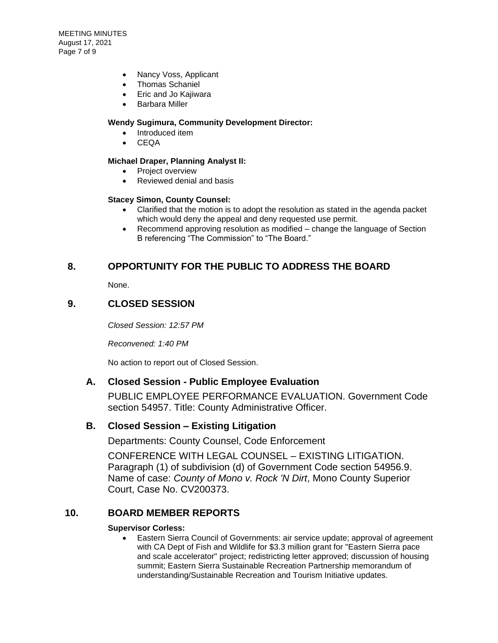- Nancy Voss, Applicant
- Thomas Schaniel
- Eric and Jo Kajiwara
- Barbara Miller

#### **Wendy Sugimura, Community Development Director:**

- Introduced item
- CEQA

#### **Michael Draper, Planning Analyst II:**

- Project overview
- Reviewed denial and basis

#### **Stacey Simon, County Counsel:**

- Clarified that the motion is to adopt the resolution as stated in the agenda packet which would deny the appeal and deny requested use permit.
- Recommend approving resolution as modified change the language of Section B referencing "The Commission" to "The Board."

### **8. OPPORTUNITY FOR THE PUBLIC TO ADDRESS THE BOARD**

None.

### **9. CLOSED SESSION**

*Closed Session: 12:57 PM* 

*Reconvened: 1:40 PM*

No action to report out of Closed Session.

### **A. Closed Session - [Public Employee Evaluation](https://agenda.mono.ca.gov/AgendaWeb/CoverSheet.aspx?ItemID=13385&MeetingID=795)**

PUBLIC EMPLOYEE PERFORMANCE EVALUATION. Government Code section 54957. Title: County Administrative Officer.

### **B. Closed Session – [Existing Litigation](https://agenda.mono.ca.gov/AgendaWeb/CoverSheet.aspx?ItemID=13564&MeetingID=795)**

Departments: County Counsel, Code Enforcement

CONFERENCE WITH LEGAL COUNSEL – EXISTING LITIGATION. Paragraph (1) of subdivision (d) of Government Code section 54956.9. Name of case: *County of Mono v. Rock 'N Dirt*, Mono County Superior Court, Case No. CV200373.

### **10. BOARD MEMBER REPORTS**

#### **Supervisor Corless:**

• Eastern Sierra Council of Governments: air service update; approval of agreement with CA Dept of Fish and Wildlife for \$3.3 million grant for "Eastern Sierra pace and scale accelerator" project; redistricting letter approved; discussion of housing summit; Eastern Sierra Sustainable Recreation Partnership memorandum of understanding/Sustainable Recreation and Tourism Initiative updates.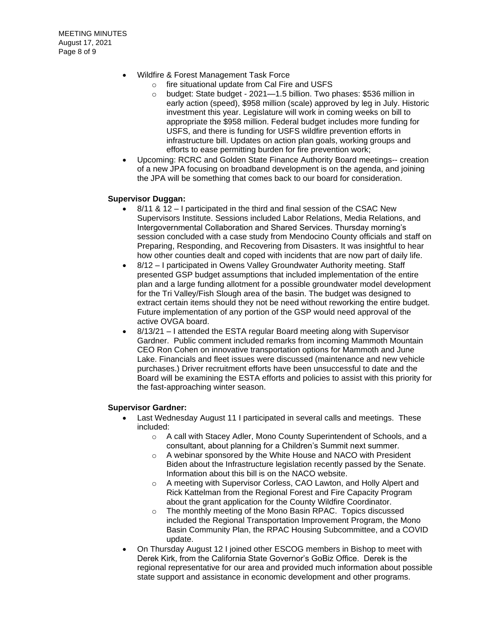- Wildfire & Forest Management Task Force
	- o fire situational update from Cal Fire and USFS
	- o budget: State budget 2021—1.5 billion. Two phases: \$536 million in early action (speed), \$958 million (scale) approved by leg in July. Historic investment this year. Legislature will work in coming weeks on bill to appropriate the \$958 million. Federal budget includes more funding for USFS, and there is funding for USFS wildfire prevention efforts in infrastructure bill. Updates on action plan goals, working groups and efforts to ease permitting burden for fire prevention work;
- Upcoming: RCRC and Golden State Finance Authority Board meetings-- creation of a new JPA focusing on broadband development is on the agenda, and joining the JPA will be something that comes back to our board for consideration.

#### **Supervisor Duggan:**

- 8/11 & 12 I participated in the third and final session of the CSAC New Supervisors Institute. Sessions included Labor Relations, Media Relations, and Intergovernmental Collaboration and Shared Services. Thursday morning's session concluded with a case study from Mendocino County officials and staff on Preparing, Responding, and Recovering from Disasters. It was insightful to hear how other counties dealt and coped with incidents that are now part of daily life.
- 8/12 I participated in Owens Valley Groundwater Authority meeting. Staff presented GSP budget assumptions that included implementation of the entire plan and a large funding allotment for a possible groundwater model development for the Tri Valley/Fish Slough area of the basin. The budget was designed to extract certain items should they not be need without reworking the entire budget. Future implementation of any portion of the GSP would need approval of the active OVGA board.
- 8/13/21 I attended the ESTA regular Board meeting along with Supervisor Gardner. Public comment included remarks from incoming Mammoth Mountain CEO Ron Cohen on innovative transportation options for Mammoth and June Lake. Financials and fleet issues were discussed (maintenance and new vehicle purchases.) Driver recruitment efforts have been unsuccessful to date and the Board will be examining the ESTA efforts and policies to assist with this priority for the fast-approaching winter season.

#### **Supervisor Gardner:**

- Last Wednesday August 11 I participated in several calls and meetings. These included:
	- o A call with Stacey Adler, Mono County Superintendent of Schools, and a consultant, about planning for a Children's Summit next summer.
	- o A webinar sponsored by the White House and NACO with President Biden about the Infrastructure legislation recently passed by the Senate. Information about this bill is on the NACO website.
	- o A meeting with Supervisor Corless, CAO Lawton, and Holly Alpert and Rick Kattelman from the Regional Forest and Fire Capacity Program about the grant application for the County Wildfire Coordinator.
	- o The monthly meeting of the Mono Basin RPAC. Topics discussed included the Regional Transportation Improvement Program, the Mono Basin Community Plan, the RPAC Housing Subcommittee, and a COVID update.
- On Thursday August 12 I joined other ESCOG members in Bishop to meet with Derek Kirk, from the California State Governor's GoBiz Office. Derek is the regional representative for our area and provided much information about possible state support and assistance in economic development and other programs.